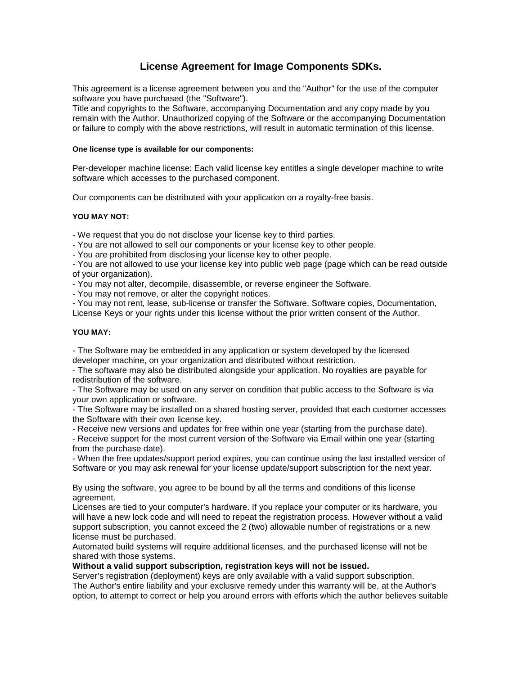# **License Agreement for Image Components SDKs.**

This agreement is a license agreement between you and the "Author" for the use of the computer software you have purchased (the "Software").

Title and copyrights to the Software, accompanying Documentation and any copy made by you remain with the Author. Unauthorized copying of the Software or the accompanying Documentation or failure to comply with the above restrictions, will result in automatic termination of this license.

#### **One license type is available for our components:**

Per-developer machine license: Each valid license key entitles a single developer machine to write software which accesses to the purchased component.

Our components can be distributed with your application on a royalty-free basis.

## **YOU MAY NOT:**

- We request that you do not disclose your license key to third parties.

- You are not allowed to sell our components or your license key to other people.

- You are prohibited from disclosing your license key to other people.

- You are not allowed to use your license key into public web page (page which can be read outside of your organization).

- You may not alter, decompile, disassemble, or reverse engineer the Software.

- You may not remove, or alter the copyright notices.

- You may not rent, lease, sub-license or transfer the Software, Software copies, Documentation,

License Keys or your rights under this license without the prior written consent of the Author.

#### **YOU MAY:**

- The Software may be embedded in any application or system developed by the licensed developer machine, on your organization and distributed without restriction.

- The software may also be distributed alongside your application. No royalties are payable for redistribution of the software.

- The Software may be used on any server on condition that public access to the Software is via your own application or software.

- The Software may be installed on a shared hosting server, provided that each customer accesses the Software with their own license key.

- Receive new versions and updates for free within one year (starting from the purchase date).

- Receive support for the most current version of the Software via Email within one year (starting from the purchase date).

- When the free updates/support period expires, you can continue using the last installed version of Software or you may ask renewal for your license update/support subscription for the next year.

By using the software, you agree to be bound by all the terms and conditions of this license agreement.

Licenses are tied to your computer's hardware. If you replace your computer or its hardware, you will have a new lock code and will need to repeat the registration process. However without a valid support subscription, you cannot exceed the 2 (two) allowable number of registrations or a new license must be purchased.

Automated build systems will require additional licenses, and the purchased license will not be shared with those systems.

## **Without a valid support subscription, registration keys will not be issued.**

Server's registration (deployment) keys are only available with a valid support subscription. The Author's entire liability and your exclusive remedy under this warranty will be, at the Author's option, to attempt to correct or help you around errors with efforts which the author believes suitable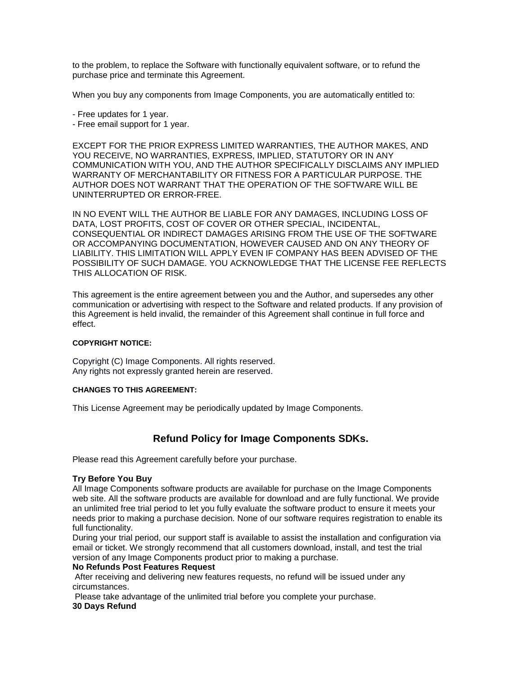to the problem, to replace the Software with functionally equivalent software, or to refund the purchase price and terminate this Agreement.

When you buy any components from Image Components, you are automatically entitled to:

- Free updates for 1 year.
- Free email support for 1 year.

EXCEPT FOR THE PRIOR EXPRESS LIMITED WARRANTIES, THE AUTHOR MAKES, AND YOU RECEIVE, NO WARRANTIES, EXPRESS, IMPLIED, STATUTORY OR IN ANY COMMUNICATION WITH YOU, AND THE AUTHOR SPECIFICALLY DISCLAIMS ANY IMPLIED WARRANTY OF MERCHANTABILITY OR FITNESS FOR A PARTICULAR PURPOSE. THE AUTHOR DOES NOT WARRANT THAT THE OPERATION OF THE SOFTWARE WILL BE UNINTERRUPTED OR ERROR-FREE.

IN NO EVENT WILL THE AUTHOR BE LIABLE FOR ANY DAMAGES, INCLUDING LOSS OF DATA, LOST PROFITS, COST OF COVER OR OTHER SPECIAL, INCIDENTAL, CONSEQUENTIAL OR INDIRECT DAMAGES ARISING FROM THE USE OF THE SOFTWARE OR ACCOMPANYING DOCUMENTATION, HOWEVER CAUSED AND ON ANY THEORY OF LIABILITY. THIS LIMITATION WILL APPLY EVEN IF COMPANY HAS BEEN ADVISED OF THE POSSIBILITY OF SUCH DAMAGE. YOU ACKNOWLEDGE THAT THE LICENSE FEE REFLECTS THIS ALLOCATION OF RISK.

This agreement is the entire agreement between you and the Author, and supersedes any other communication or advertising with respect to the Software and related products. If any provision of this Agreement is held invalid, the remainder of this Agreement shall continue in full force and effect.

## **COPYRIGHT NOTICE:**

Copyright (C) Image Components. All rights reserved. Any rights not expressly granted herein are reserved.

## **CHANGES TO THIS AGREEMENT:**

This License Agreement may be periodically updated by Image Components.

## **Refund Policy for Image Components SDKs.**

Please read this Agreement carefully before your purchase.

## **Try Before You Buy**

All Image Components software products are available for purchase on the Image Components web site. All the software products are available for download and are fully functional. We provide an unlimited free trial period to let you fully evaluate the software product to ensure it meets your needs prior to making a purchase decision. None of our software requires registration to enable its full functionality.

During your trial period, our support staff is available to assist the installation and configuration via email or ticket. We strongly recommend that all customers download, install, and test the trial version of any Image Components product prior to making a purchase.

## **No Refunds Post Features Request**

After receiving and delivering new features requests, no refund will be issued under any circumstances.

Please take advantage of the unlimited trial before you complete your purchase. **30 Days Refund**